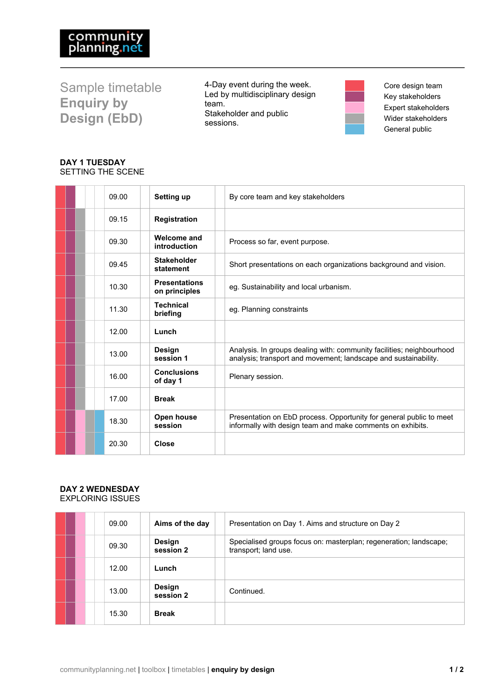Sample timetable **Enquiry by Design (EbD)**

4-Day event during the week. Led by multidisciplinary design team. Stakeholder and public sessions.



Core design team Key stakeholders Expert stakeholders Wider stakeholders General public

# **DAY 1 TUESDAY** SETTING THE SCENE

|  | 09.00 | Setting up                            | By core team and key stakeholders                                                                                                        |
|--|-------|---------------------------------------|------------------------------------------------------------------------------------------------------------------------------------------|
|  | 09.15 | <b>Registration</b>                   |                                                                                                                                          |
|  | 09.30 | Welcome and<br>introduction           | Process so far, event purpose.                                                                                                           |
|  | 09.45 | <b>Stakeholder</b><br>statement       | Short presentations on each organizations background and vision.                                                                         |
|  | 10.30 | <b>Presentations</b><br>on principles | eq. Sustainability and local urbanism.                                                                                                   |
|  | 11.30 | <b>Technical</b><br>briefing          | eg. Planning constraints                                                                                                                 |
|  | 12.00 | Lunch                                 |                                                                                                                                          |
|  | 13.00 | <b>Design</b><br>session 1            | Analysis. In groups dealing with: community facilities; neighbourhood<br>analysis; transport and movement; landscape and sustainability. |
|  | 16.00 | <b>Conclusions</b><br>of day 1        | Plenary session.                                                                                                                         |
|  | 17.00 | <b>Break</b>                          |                                                                                                                                          |
|  | 18.30 | Open house<br>session                 | Presentation on EbD process. Opportunity for general public to meet<br>informally with design team and make comments on exhibits.        |
|  | 20.30 | <b>Close</b>                          |                                                                                                                                          |

## **DAY 2 WEDNESDAY** EXPLORING ISSUES

|  | 09.00 | Aims of the day     | Presentation on Day 1. Aims and structure on Day 2                                        |
|--|-------|---------------------|-------------------------------------------------------------------------------------------|
|  | 09.30 | Design<br>session 2 | Specialised groups focus on: masterplan; regeneration; landscape;<br>transport; land use. |
|  | 12.00 | Lunch               |                                                                                           |
|  | 13.00 | Design<br>session 2 | Continued.                                                                                |
|  | 15.30 | <b>Break</b>        |                                                                                           |